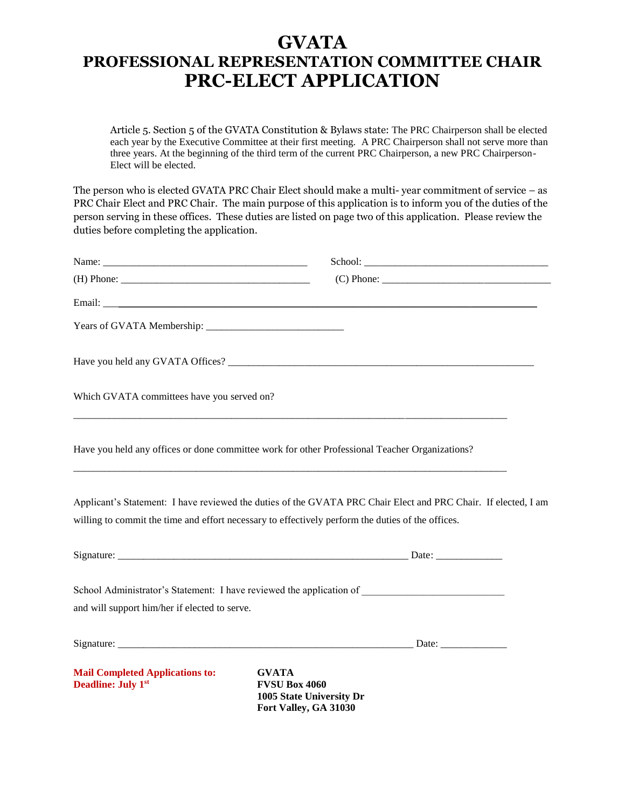## **GVATA PROFESSIONAL REPRESENTATION COMMITTEE CHAIR PRC-ELECT APPLICATION**

Article 5. Section 5 of the GVATA Constitution & Bylaws state: The PRC Chairperson shall be elected each year by the Executive Committee at their first meeting. A PRC Chairperson shall not serve more than three years. At the beginning of the third term of the current PRC Chairperson, a new PRC Chairperson-Elect will be elected.

The person who is elected GVATA PRC Chair Elect should make a multi- year commitment of service – as PRC Chair Elect and PRC Chair. The main purpose of this application is to inform you of the duties of the person serving in these offices. These duties are listed on page two of this application. Please review the duties before completing the application.

|                                                                     | $(C)$ Phone:                                                                                                                                                                                                        |
|---------------------------------------------------------------------|---------------------------------------------------------------------------------------------------------------------------------------------------------------------------------------------------------------------|
|                                                                     |                                                                                                                                                                                                                     |
|                                                                     |                                                                                                                                                                                                                     |
|                                                                     |                                                                                                                                                                                                                     |
| Which GVATA committees have you served on?                          |                                                                                                                                                                                                                     |
|                                                                     | Have you held any offices or done committee work for other Professional Teacher Organizations?                                                                                                                      |
|                                                                     | Applicant's Statement: I have reviewed the duties of the GVATA PRC Chair Elect and PRC Chair. If elected, I am<br>willing to commit the time and effort necessary to effectively perform the duties of the offices. |
|                                                                     |                                                                                                                                                                                                                     |
| and will support him/her if elected to serve.                       | School Administrator's Statement: I have reviewed the application of ______________________________                                                                                                                 |
|                                                                     |                                                                                                                                                                                                                     |
| <b>Mail Completed Applications to:</b><br><b>Deadline: July 1st</b> | <b>GVATA</b><br><b>FVSU Box 4060</b><br>1005 State University Dr<br>Fort Valley, GA 31030                                                                                                                           |